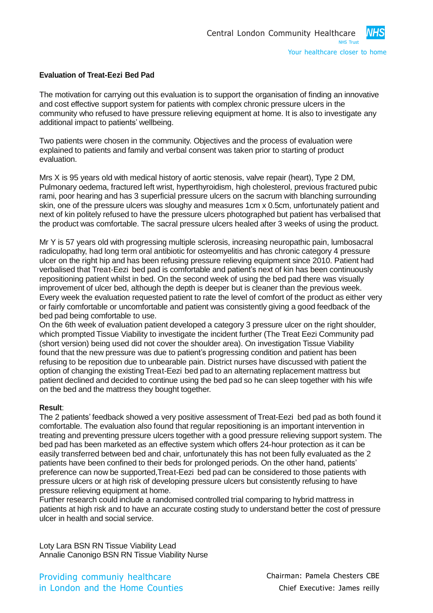## **Evaluation of Treat-Eezi Bed Pad**

The motivation for carrying out this evaluation is to support the organisation of finding an innovative and cost effective support system for patients with complex chronic pressure ulcers in the community who refused to have pressure relieving equipment at home. It is also to investigate any additional impact to patients' wellbeing.

Two patients were chosen in the community. Objectives and the process of evaluation were explained to patients and family and verbal consent was taken prior to starting of product evaluation.

Mrs X is 95 years old with medical history of aortic stenosis, valve repair (heart), Type 2 DM, Pulmonary oedema, fractured left wrist, hyperthyroidism, high cholesterol, previous fractured pubic rami, poor hearing and has 3 superficial pressure ulcers on the sacrum with blanching surrounding skin, one of the pressure ulcers was sloughy and measures 1cm x 0.5cm, unfortunately patient and next of kin politely refused to have the pressure ulcers photographed but patient has verbalised that the product was comfortable. The sacral pressure ulcers healed after 3 weeks of using the product.

Mr Y is 57 years old with progressing multiple sclerosis, increasing neuropathic pain, lumbosacral radiculopathy, had long term oral antibiotic for osteomyelitis and has chronic category 4 pressure ulcer on the right hip and has been refusing pressure relieving equipment since 2010. Patient had verbalised that Treat-Eezi bed pad is comfortable and patient's next of kin has been continuously repositioning patient whilst in bed. On the second week of using the bed pad there was visually improvement of ulcer bed, although the depth is deeper but is cleaner than the previous week. Every week the evaluation requested patient to rate the level of comfort of the product as either very or fairly comfortable or uncomfortable and patient was consistently giving a good feedback of the bed pad being comfortable to use.

On the 6th week of evaluation patient developed a category 3 pressure ulcer on the right shoulder, which prompted Tissue Viability to investigate the incident further (The Treat Eezi Community pad (short version) being used did not cover the shoulder area). On investigation Tissue Viability found that the new pressure was due to patient's progressing condition and patient has been refusing to be reposition due to unbearable pain. District nurses have discussed with patient the option of changing the existingTreat-Eezi bed pad to an alternating replacement mattress but patient declined and decided to continue using the bed pad so he can sleep together with his wife on the bed and the mattress they bought together.

## **Result**:

The 2 patients' feedback showed a very positive assessment of Treat-Eezi bed pad as both found it comfortable. The evaluation also found that regular repositioning is an important intervention in treating and preventing pressure ulcers together with a good pressure relieving support system. The bed pad has been marketed as an effective system which offers 24-hour protection as it can be easily transferred between bed and chair, unfortunately this has not been fully evaluated as the 2 patients have been confined to their beds for prolonged periods. On the other hand, patients' preference can now be supported,Treat-Eezi bed pad can be considered to those patients with pressure ulcers or at high risk of developing pressure ulcers but consistently refusing to have pressure relieving equipment at home.

Further research could include a randomised controlled trial comparing to hybrid mattress in patients at high risk and to have an accurate costing study to understand better the cost of pressure ulcer in health and social service.

Loty Lara BSN RN Tissue Viability Lead Annalie Canonigo BSN RN Tissue Viability Nurse